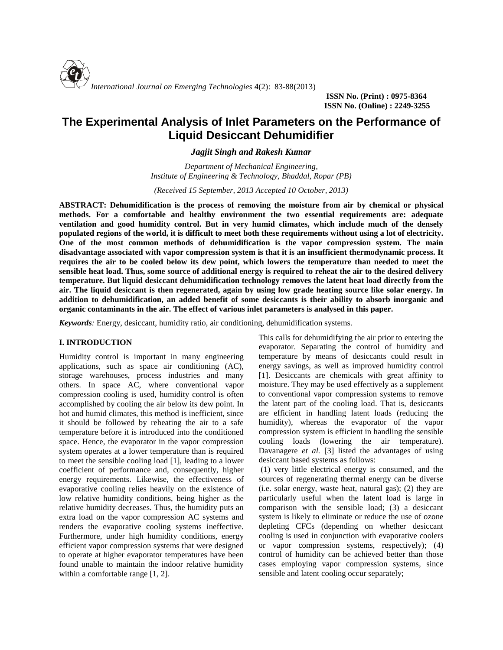

**ISSN No. (Print) : 0975-8364 ISSN No. (Online) : 2249-3255**

# **The Experimental Analysis of Inlet Parameters on the Performance of Liquid Desiccant Dehumidifier**

*Jagjit Singh and Rakesh Kumar*

*Department of Mechanical Engineering, Institute of Engineering & Technology, Bhaddal, Ropar (PB)*

*(Received 15 September, 2013 Accepted 10 October, 2013)*

**ABSTRACT: Dehumidification is the process of removing the moisture from air by chemical or physical methods. For a comfortable and healthy environment the two essential requirements are: adequate ventilation and good humidity control. But in very humid climates, which include much of the densely populated regions of the world, it is difficult to meet both these requirements without using a lot of electricity. One of the most common methods of dehumidification is the vapor compression system. The main disadvantage associated with vapor compression system is that it is an insufficient thermodynamic process. It requires the air to be cooled below its dew point, which lowers the temperature than needed to meet the sensible heat load. Thus, some source of additional energy is required to reheat the air to the desired delivery temperature. But liquid desiccant dehumidification technology removes the latent heat load directly from the air. The liquid desiccant is then regenerated, again by using low grade heating source like solar energy. In addition to dehumidification, an added benefit of some desiccants is their ability to absorb inorganic and organic contaminants in the air. The effect of various inlet parameters is analysed in this paper.**

*Keywords:* Energy, desiccant, humidity ratio, air conditioning, dehumidification systems.

## **I. INTRODUCTION**

Humidity control is important in many engineering applications, such as space air conditioning (AC), storage warehouses, process industries and many others. In space AC, where conventional vapor compression cooling is used, humidity control is often accomplished by cooling the air below its dew point. In hot and humid climates, this method is inefficient, since it should be followed by reheating the air to a safe temperature before it is introduced into the conditioned space. Hence, the evaporator in the vapor compression system operates at a lower temperature than is required to meet the sensible cooling load [1], leading to a lower coefficient of performance and, consequently, higher energy requirements. Likewise, the effectiveness of evaporative cooling relies heavily on the existence of low relative humidity conditions, being higher as the relative humidity decreases. Thus, the humidity puts an extra load on the vapor compression AC systems and renders the evaporative cooling systems ineffective. Furthermore, under high humidity conditions, energy efficient vapor compression systems that were designed to operate at higher evaporator temperatures have been found unable to maintain the indoor relative humidity within a comfortable range [1, 2].

This calls for dehumidifying the air prior to entering the evaporator. Separating the control of humidity and temperature by means of desiccants could result in energy savings, as well as improved humidity control [1]. Desiccants are chemicals with great affinity to moisture. They may be used effectively as a supplement to conventional vapor compression systems to remove the latent part of the cooling load. That is, desiccants are efficient in handling latent loads (reducing the humidity), whereas the evaporator of the vapor compression system is efficient in handling the sensible cooling loads (lowering the air temperature). Davanagere *et al.* [3] listed the advantages of using desiccant based systems as follows:

(1) very little electrical energy is consumed, and the sources of regenerating thermal energy can be diverse (i.e. solar energy, waste heat, natural gas); (2) they are particularly useful when the latent load is large in comparison with the sensible load; (3) a desiccant system is likely to eliminate or reduce the use of ozone depleting CFCs (depending on whether desiccant cooling is used in conjunction with evaporative coolers or vapor compression systems, respectively); (4) control of humidity can be achieved better than those cases employing vapor compression systems, since sensible and latent cooling occur separately;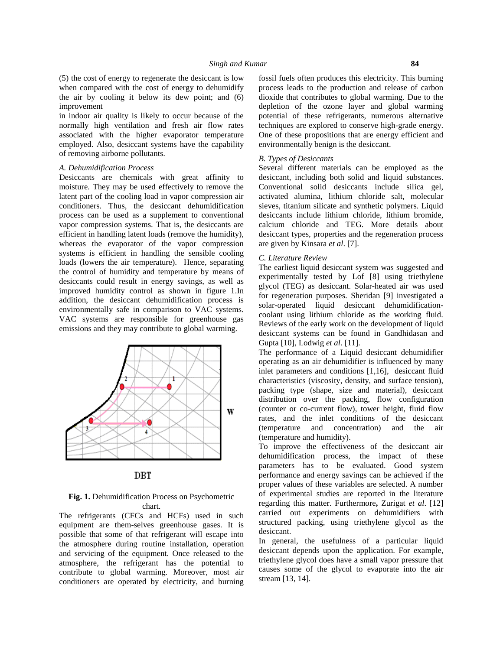(5) the cost of energy to regenerate the desiccant is low when compared with the cost of energy to dehumidify the air by cooling it below its dew point; and  $(6)$ improvement

in indoor air quality is likely to occur because of the normally high ventilation and fresh air flow rates associated with the higher evaporator temperature employed. Also, desiccant systems have the capability of removing airborne pollutants.

## *A. Dehumidification Process*

Desiccants are chemicals with great affinity to moisture. They may be used effectively to remove the latent part of the cooling load in vapor compression air conditioners. Thus, the desiccant dehumidification process can be used as a supplement to conventional vapor compression systems. That is, the desiccants are efficient in handling latent loads (remove the humidity), whereas the evaporator of the vapor compression systems is efficient in handling the sensible cooling loads (lowers the air temperature). Hence, separating the control of humidity and temperature by means of desiccants could result in energy savings, as well as improved humidity control as shown in figure 1.In addition, the desiccant dehumidification process is environmentally safe in comparison to VAC systems. VAC systems are responsible for greenhouse gas emissions and they may contribute to global warming.



# **Fig. 1.** Dehumidification Process on Psychometric chart.

The refrigerants (CFCs and HCFs) used in such equipment are them-selves greenhouse gases. It is possible that some of that refrigerant will escape into the atmosphere during routine installation, operation and servicing of the equipment. Once released to the atmosphere, the refrigerant has the potential to contribute to global warming. Moreover, most air conditioners are operated by electricity, and burning

fossil fuels often produces this electricity. This burning process leads to the production and release of carbon dioxide that contributes to global warming. Due to the depletion of the ozone layer and global warming potential of these refrigerants, numerous alternative techniques are explored to conserve high-grade energy. One of these propositions that are energy efficient and environmentally benign is the desiccant.

## *B. Types of Desiccants*

Several different materials can be employed as the desiccant, including both solid and liquid substances. Conventional solid desiccants include silica gel, activated alumina, lithium chloride salt, molecular sieves, titanium silicate and synthetic polymers. Liquid desiccants include lithium chloride, lithium bromide, calcium chloride and TEG. More details about desiccant types, properties and the regeneration process are given by Kinsara *et al*. [7].

#### *C. Literature Review*

The earliest liquid desiccant system was suggested and experimentally tested by Lof [8] using triethylene glycol (TEG) as desiccant. Solar-heated air was used for regeneration purposes. Sheridan [9] investigated a solar-operated liquid desiccant dehumidification coolant using lithium chloride as the working fluid. Reviews of the early work on the development of liquid desiccant systems can be found in Gandhidasan and Gupta [10], Lodwig *et al*. [11].

The performance of a Liquid desiccant dehumidifier operating as an air dehumidifier is influenced by many inlet parameters and conditions [1,16], desiccant fluid characteristics (viscosity, density, and surface tension), packing type (shape, size and material), desiccant distribution over the packing, flow configuration (counter or co-current flow), tower height, fluid flow rates, and the inlet conditions of the desiccant (temperature and concentration) and the air (temperature and humidity).

To improve the effectiveness of the desiccant air dehumidification process, the impact of these parameters has to be evaluated. Good system performance and energy savings can be achieved if the proper values of these variables are selected. A number of experimental studies are reported in the literature regarding this matter. Furthermore**,** Zurigat *et al*. [12] carried out experiments on dehumidifiers with structured packing, using triethylene glycol as the desiccant.

In general, the usefulness of a particular liquid desiccant depends upon the application. For example, triethylene glycol does have a small vapor pressure that causes some of the glycol to evaporate into the air stream [13, 14].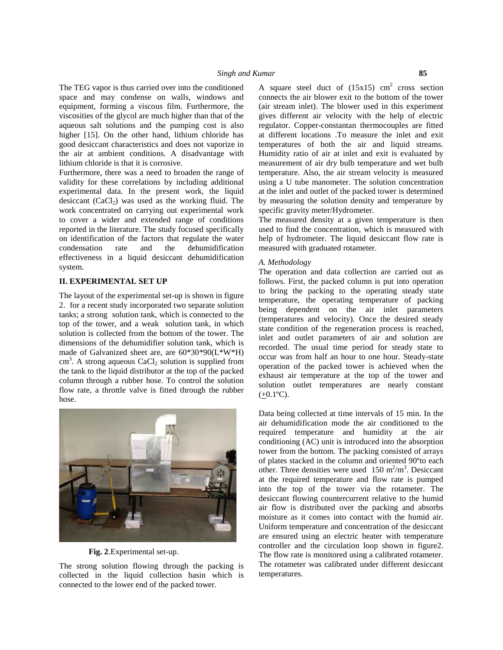The TEG vapor is thus carried over into the conditioned space and may condense on walls, windows and equipment, forming a viscous film. Furthermore, the viscosities of the glycol are much higher than that of the aqueous salt solutions and the pumping cost is also higher [15]. On the other hand, lithium chloride has good desiccant characteristics and does not vaporize in the air at ambient conditions. A disadvantage with lithium chloride is that it is corrosive.

Furthermore, there was a need to broaden the range of validity for these correlations by including additional experimental data. In the present work, the liquid desiccant  $(CaCl<sub>2</sub>)$  was used as the working fluid. The work concentrated on carrying out experimental work to cover a wider and extended range of conditions reported in the literature. The study focused specifically on identification of the factors that regulate the water condensation rate and the dehumidification effectiveness in a liquid desiccant dehumidification system.

### **II. EXPERIMENTAL SET UP**

The layout of the experimental set-up is shown in figure 2. for a recent study incorporated two separate solution tanks; a strong solution tank, which is connected to the top of the tower, and a weak solution tank, in which solution is collected from the bottom of the tower. The dimensions of the dehumidifier solution tank, which is made of Galvanized sheet are, are 60\*30\*90(L\*W\*H)  $\text{cm}^3$ . A strong aqueous CaCl<sub>2</sub> solution is supplied from  $\text{occur}$  was the tank to the liquid distributor at the top of the packed column through a rubber hose. To control the solution flow rate, a throttle valve is fitted through the rubber hose.



**Fig. 2**.Experimental set-up.

The strong solution flowing through the packing is collected in the liquid collection basin which is connected to the lower end of the packed tower.

A square steel duct of  $(15x15)$  cm<sup>2</sup> cross section connects the air blower exit to the bottom of the tower (air stream inlet). The blower used in this experiment gives different air velocity with the help of electric regulator. Copper-constantan thermocouples are fitted at different locations .To measure the inlet and exit temperatures of both the air and liquid streams. Humidity ratio of air at inlet and exit is evaluated by measurement of air dry bulb temperature and wet bulb temperature. Also, the air stream velocity is measured using a U tube manometer. The solution concentration at the inlet and outlet of the packed tower is determined by measuring the solution density and temperature by specific gravity meter/Hydrometer.

The measured density at a given temperature is then used to find the concentration, which is measured with help of hydrometer. The liquid desiccant flow rate is measured with graduated rotameter.

#### *A. Methodology*

The operation and data collection are carried out as follows. First, the packed column is put into operation to bring the packing to the operating steady state temperature, the operating temperature of packing being dependent on the air inlet parameters (temperatures and velocity). Once the desired steady state condition of the regeneration process is reached, inlet and outlet parameters of air and solution are recorded. The usual time period for steady state to occur was from half an hour to one hour. Steady-state operation of the packed tower is achieved when the exhaust air temperature at the top of the tower and solution outlet temperatures are nearly constant  $(+0.1$ <sup>o</sup>C).

Data being collected at time intervals of 15 min. In the air dehumidification mode the air conditioned to the required temperature and humidity at the air conditioning (AC) unit is introduced into the absorption tower from the bottom. The packing consisted of arrays of plates stacked in the column and oriented 90ºto each other. Three densities were used  $150 \text{ m}^2/\text{m}^3$ . Desiccant at the required temperature and flow rate is pumped into the top of the tower via the rotameter. The desiccant flowing countercurrent relative to the humid air flow is distributed over the packing and absorbs moisture as it comes into contact with the humid air. Uniform temperature and concentration of the desiccant are ensured using an electric heater with temperature controller and the circulation loop shown in figure2. The flow rate is monitored using a calibrated rotameter. The rotameter was calibrated under different desiccant temperatures.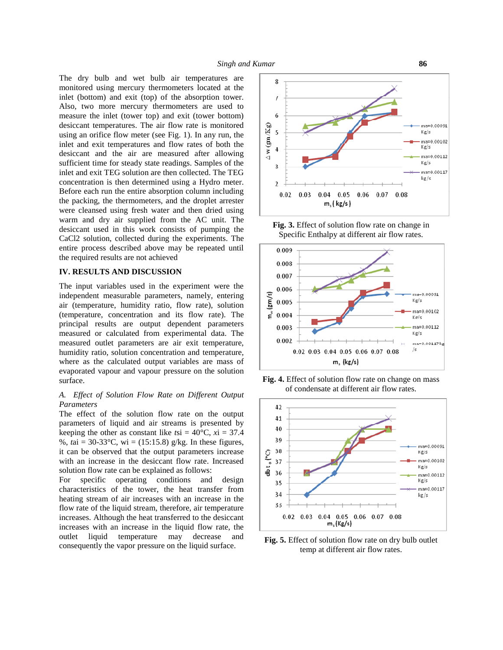The dry bulb and wet bulb air temperatures are monitored using mercury thermometers located at the inlet (bottom) and exit (top) of the absorption tower. Also, two more mercury thermometers are used to measure the inlet (tower top) and exit (tower bottom) desiccant temperatures. The air flow rate is monitored<br>using an orifice flow meter (see Fig. 1). In any run the using an orifice flow meter (see Fig. 1). In any run, the inlet and exit temperatures and flow rates of both the designed after allowing inlet and exit temperatures and flow rates of both the desiccant and the air are measured after allowing  $\begin{array}{c} \begin{array}{c} \nearrow \\ \end{array}$ sufficient time for steady state readings. Samples of the inlet and exit TEG solution are then collected. The TEG concentration is then determined using a Hydro meter. Before each run the entire absorption column including the packing, the thermometers, and the droplet arrester were cleansed using fresh water and then dried using warm and dry air supplied from the AC unit. The desiccant used in this work consists of pumping the CaCl2 solution, collected during the experiments. The entire process described above may be repeated until the required results are not achieved

# **IV. RESULTS AND DISCUSSION**

The input variables used in the experiment were the independent measurable parameters, namely, entering air (temperature, humidity ratio, flow rate), solution (temperature, concentration and its flow rate). The independent measurable parameters, namely, entering air (temperature, humidity ratio, flow rate), solution (temperature, concentration and its flow rate). The principal results are output dependent parameters measured or calculated from experimental data. The measured outlet parameters are air exit temperature, humidity ratio, solution concentration and temperature, where as the calculated output variables are mass of evaporated vapour and vapour pressure on the solution surface.

## *A. Effect of Solution Flow Rate on Different Output Parameters*

The effect of the solution flow rate on the output parameters of liquid and air streams is presented by keeping the other as constant like  $t$ si = 40 $\degree$ C, *x*i = 37.4 %, *t*ai = 30-33°C, wi = (15:15.8) g/kg. In these figures, it can be observed that the output parameters increase<br>with an increase in the desiccant flow rate. Increased<br>solution flow rate can be explained as follows: with an increase in the desiccant flow rate. Increased  $\frac{1}{2}$  37 solution flow rate can be explained as follows:

For specific operating conditions and design For specific operating conditions and design<br>characteristics of the tower, the heat transfer from  $\frac{35}{34}$ heating stream of air increases with an increase in the flow rate of the liquid stream, therefore, air temperature increases. Although the heat transferred to the desiccant increases with an increase in the liquid flow rate, the outlet liquid temperature may decrease and consequently the vapor pressure on the liquid surface.



**Fig. 3.** Effect of solution flow rate on change in Specific Enthalpy at different air flow rates.



**Fig. 4.** Effect of solution flow rate on change on mass of condensate at different air flow rates.



**Fig. 5.** Effect of solution flow rate on dry bulb outlet temp at different air flow rates.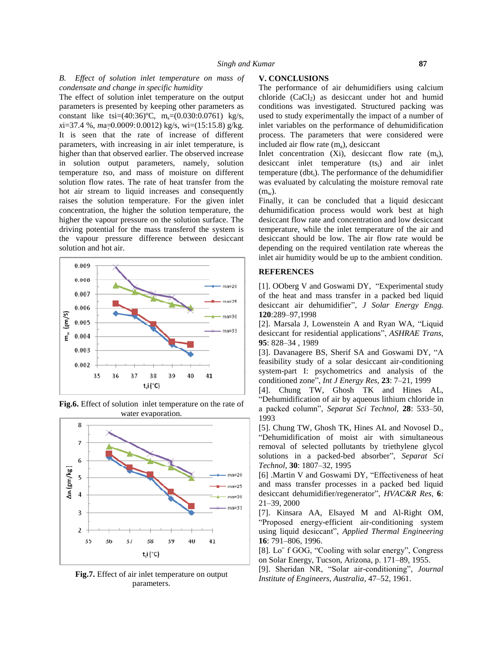## *B. Effect of solution inlet temperature on mass of condensate and change in specific humidity*

The effect of solution inlet temperature on the output parameters is presented by keeping other parameters as constant like tsi= $(40:36)$ °C, m<sub>s</sub>= $(0.030:0.0761)$  kg/s, *x*i=37.4 %, *m*a=0.0009:0.0012) kg/s, wi=(15:15.8) g/kg. It is seen that the rate of increase of different parameters, with increasing in air inlet temperature, is higher than that observed earlier. The observed increase in solution output parameters, namely, solution temperature *t*so, and mass of moisture on different solution flow rates. The rate of heat transfer from the hot air stream to liquid increases and consequently raises the solution temperature. For the given inlet concentration, the higher the solution temperature, the higher the vapour pressure on the solution surface. The driving potential for the mass transferof the system is the vapour pressure difference between desiccant solution and hot air.





**Fig.6.** Effect of solution inlet temperature on the rate of water evaporation.

**Fig.7.** Effect of air inlet temperature on output parameters.

#### **V. CONCLUSIONS**

The performance of air dehumidifiers using calcium chloride  $(CaCl<sub>2</sub>)$  as desiccant under hot and humid conditions was investigated. Structured packing was used to study experimentally the impact of a number of inlet variables on the performance of dehumidification process. The parameters that were considered were included air flow rate  $(m_a)$ , desiccant

Inlet concentration  $(X_i)$ , desiccant flow rate  $(m_s)$ , desiccant inlet temperature  $(ts_i)$  and air inlet temperature (dbti). The performance of the dehumidifier was evaluated by calculating the moisture removal rate  $(m_w)$ .

Finally, it can be concluded that a liquid desiccant dehumidification process would work best at high desiccant flow rate and concentration and low desiccant temperature, while the inlet temperature of the air and desiccant should be low. The air flow rate would be depending on the required ventilation rate whereas the inlet air humidity would be up to the ambient condition.

# **REFERENCES**

[1]. OOberg V and Goswami DY, "Experimental study of the heat and mass transfer in a packed bed liquid desiccant air dehumidifier", *J Solar Energy Engg.* **120**:289–97,1998

[2]. Marsala J, Lowenstein A and Ryan WA, "Liquid desiccant for residential applications", *ASHRAE Trans*, **95**: 828–34 , 1989

[3]. Davanagere BS, Sherif SA and Goswami DY, "A feasibility study of a solar desiccant air-conditioning system-part I: psychometrics and analysis of the conditioned zone", *Int J Energy Res,* **23**: 7–21, 1999

[4]. Chung TW, Ghosh TK and Hines AL, "Dehumidification of air by aqueous lithium chloride in a packed column", *Separat Sci Technol,* **28**: 533–50, 1993

[5]. Chung TW, Ghosh TK, Hines AL and Novosel D., "Dehumidification of moist air with simultaneous removal of selected pollutants by triethylene glycol solutions in a packed-bed absorber", *Separat Sci Technol,* **30**: 1807–32, 1995

[6] .Martin V and Goswami DY, "Effectiveness of heat and mass transfer processes in a packed bed liquid desiccant dehumidifier/regenerator", *HVAC&R Res*, **6**: 21–39, 2000

[7]. Kinsara AA, Elsayed M and Al-Right OM, "Proposed energy-efficient air-conditioning system using liquid desiccant", *Applied Thermal Engineering* **16**: 791–806, 1996.

[8]. Lo¨ f GOG, "Cooling with solar energy", Congress on Solar Energy, Tucson, Arizona, p. 171–89, 1955.

[9]. Sheridan NR, "Solar air-conditioning", *Journal Institute of Engineers, Australia*, 47–52, 1961.